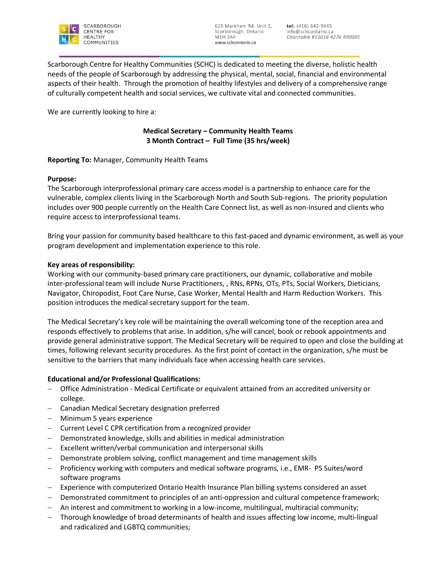

Scarborough Centre for Healthy Communities (SCHC) is dedicated to meeting the diverse, holistic health needs of the people of Scarborough by addressing the physical, mental, social, financial and environmental aspects of their health. Through the promotion of healthy lifestyles and delivery of a comprehensive range of culturally competent health and social services, we cultivate vital and connected communities.

We are currently looking to hire a:

# **Medical Secretary – Community Health Teams 3 Month Contract – Full Time (35 hrs/week)**

**Reporting To:** Manager, Community Health Teams

## **Purpose:**

The Scarborough interprofessional primary care access model is a partnership to enhance care for the vulnerable, complex clients living in the Scarborough North and South Sub-regions. The priority population includes over 900 people currently on the Health Care Connect list, as well as non-insured and clients who require access to interprofessional teams.

Bring your passion for community based healthcare to this fast-paced and dynamic environment, as well as your program development and implementation experience to this role.

## **Key areas of responsibility:**

Working with our community-based primary care practitioners, our dynamic, collaborative and mobile inter-professional team will include Nurse Practitioners, , RNs, RPNs, OTs, PTs, Social Workers, Dieticians, Navigator, Chiropodist, Foot Care Nurse, Case Worker, Mental Health and Harm Reduction Workers. This position introduces the medical secretary support for the team.

The Medical Secretary's key role will be maintaining the overall welcoming tone of the reception area and responds effectively to problems that arise. In addition, s/he will cancel, book or rebook appointments and provide general administrative support. The Medical Secretary will be required to open and close the building at times, following relevant security procedures. As the first point of contact in the organization, s/he must be sensitive to the barriers that many individuals face when accessing health care services.

## **Educational and/or Professional Qualifications:**

- Office Administration Medical Certificate or equivalent attained from an accredited university or college.
- Canadian Medical Secretary designation preferred
- Minimum 5 years experience
- Current Level C CPR certification from a recognized provider
- Demonstrated knowledge, skills and abilities in medical administration
- Excellent written/verbal communication and interpersonal skills
- Demonstrate problem solving, conflict management and time management skills
- Proficiency working with computers and medical software programs, i.e., EMR- PS Suites/word software programs
- Experience with computerized Ontario Health Insurance Plan billing systems considered an asset
- Demonstrated commitment to principles of an anti-oppression and cultural competence framework;
- An interest and commitment to working in a low-income, multilingual, multiracial community;
- Thorough knowledge of broad determinants of health and issues affecting low income, multi-lingual and radicalized and LGBTQ communities;